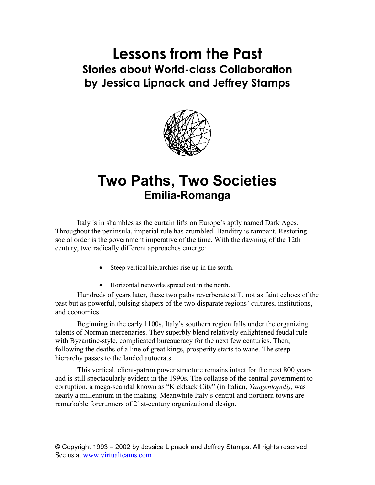# **Lessons from the Past Stories about World-class Collaboration by Jessica Lipnack and Jeffrey Stamps**



# **Two Paths, Two Societies Emilia-Romanga**

Italy is in shambles as the curtain lifts on Europe's aptly named Dark Ages. Throughout the peninsula, imperial rule has crumbled. Banditry is rampant. Restoring social order is the government imperative of the time. With the dawning of the 12th century, two radically different approaches emerge:

- Steep vertical hierarchies rise up in the south.
- Horizontal networks spread out in the north.

Hundreds of years later, these two paths reverberate still, not as faint echoes of the past but as powerful, pulsing shapers of the two disparate regions' cultures, institutions, and economies.

Beginning in the early 1100s, Italy's southern region falls under the organizing talents of Norman mercenaries. They superbly blend relatively enlightened feudal rule with Byzantine-style, complicated bureaucracy for the next few centuries. Then, following the deaths of a line of great kings, prosperity starts to wane. The steep hierarchy passes to the landed autocrats.

This vertical, client-patron power structure remains intact for the next 800 years and is still spectacularly evident in the 1990s. The collapse of the central government to corruption, a mega-scandal known as "Kickback City" (in Italian, *Tangentopoli),* was nearly a millennium in the making. Meanwhile Italy's central and northern towns are remarkable forerunners of 21st-century organizational design.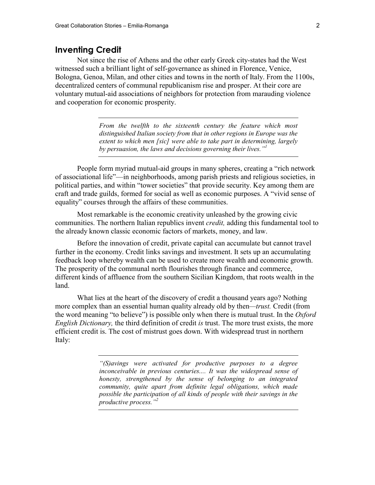# **Inventing Credit**

Not since the rise of Athens and the other early Greek city-states had the West witnessed such a brilliant light of self-governance as shined in Florence, Venice, Bologna, Genoa, Milan, and other cities and towns in the north of Italy. From the 1100s, decentralized centers of communal republicanism rise and prosper. At their core are voluntary mutual-aid associations of neighbors for protection from marauding violence and cooperation for economic prosperity.

> *From the twelfth to the sixteenth century the feature which most distinguished Italian society from that in other regions in Europe was the extent to which men [sic] were able to take part in determining, largely by persuasion, the laws and decisions governing their lives."<sup>1</sup>*

People form myriad mutual-aid groups in many spheres, creating a "rich network of associational life"—in neighborhoods, among parish priests and religious societies, in political parties, and within "tower societies" that provide security. Key among them are craft and trade guilds, formed for social as well as economic purposes. A "vivid sense of equality" courses through the affairs of these communities.

Most remarkable is the economic creativity unleashed by the growing civic communities. The northern Italian republics invent *credit,* adding this fundamental tool to the already known classic economic factors of markets, money, and law.

Before the innovation of credit, private capital can accumulate but cannot travel further in the economy. Credit links savings and investment. It sets up an accumulating feedback loop whereby wealth can be used to create more wealth and economic growth. The prosperity of the communal north flourishes through finance and commerce, different kinds of affluence from the southern Sicilian Kingdom, that roots wealth in the land.

What lies at the heart of the discovery of credit a thousand years ago? Nothing more complex than an essential human quality already old by then*—trust.* Credit (from the word meaning "to believe") is possible only when there is mutual trust. In the *Oxford English Dictionary,* the third definition of credit *is* trust. The more trust exists, the more efficient credit is. The cost of mistrust goes down. With widespread trust in northern Italy:

> *"(S)avings were activated for productive purposes to a degree inconceivable in previous centuries.... It was the widespread sense of honesty, strengthened by the sense of belonging to an integrated community, quite apart from definite legal obligations, which made possible the participation of all kinds of people with their savings in the productive process."2*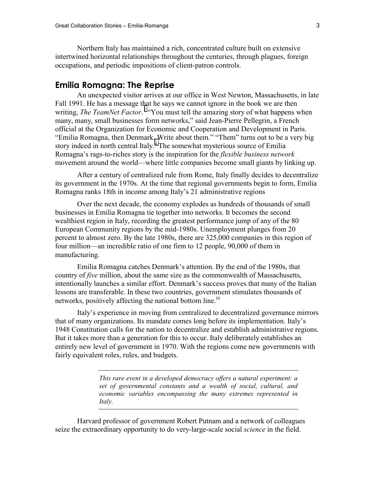Northern Italy has maintained a rich, concentrated culture built on extensive intertwined horizontal relationships throughout the centuries, through plagues, foreign occupations, and periodic impositions of client-patron controls.

### **Emilia Romagna: The Reprise**

An unexpected visitor arrives at our office in West Newton, Massachusetts, in late Fall 1991. He has a message t[ha](#page-8-0)t he says we cannot ignore in the book we are then writing, *The TeamNet Factor*.<sup>*i*</sup> "You must tell the amazing story of what happens when many, many, small businesses form networks," said Jean-Pierre Pellegrin, a French official at the Organization for Economic and Cooperation and Development in Paris. "Emilia Romagna, then Denmark. Write about them." "Them" turns out to be a very big story indeed in north central Italy.<sup>ii</sup> The somewhat mysterious source of Emilia Romagna's rags-to-riches story is the inspiration for the *flexible business network*  movement around the world—where little companies become small giants by linking up.

After a century of centralized rule from Rome, Italy finally decides to decentralize its government in the 1970s. At the time that regional governments begin to form, Emilia Romagna ranks 18th in income among Italy's 21 administrative regions

Over the next decade, the economy explodes as hundreds of thousands of small businesses in Emilia Romagna tie together into networks. It becomes the second wealthiest region in Italy, recording the greatest performance jump of any of the 80 European Community regions by the mid-1980s. Unemployment plunges from 20 percent to almost zero. By the late 1980s, there are 325,000 companies in this region of four million—an incredible ratio of one firm to 12 people, 90,000 of them in manufacturing.

Emilia Romagna catches Denmark's attention. By the end of the 1980s, that country of *five* million, about the same size as the commonwealth of Massachusetts, intentionally launches a similar effort. Denmark's success proves that many of the Italian lessons are transferable. In these two countries, government stimulates thousands of networks, positively affecting the national bottom line.<sup>iii</sup>

Italy's experience in moving from centralized to decentralized governance mirrors that of many organizations. Its mandate comes long before its implementation. Italy's 1948 Constitution calls for the nation to decentralize and establish administrative regions. But it takes more than a generation for this to occur. Italy deliberately establishes an entirely new level of government in 1970. With the regions come new governments with fairly equivalent roles, rules, and budgets.

> *This rare event in a developed democracy offers a natural experiment: a set of governmental constants and a wealth of social, cultural, and economic variables encompassing the many extremes represented in Italy.*

Harvard professor of government Robert Putnam and a network of colleagues seize the extraordinary opportunity to do very-large-scale social *science* in the field.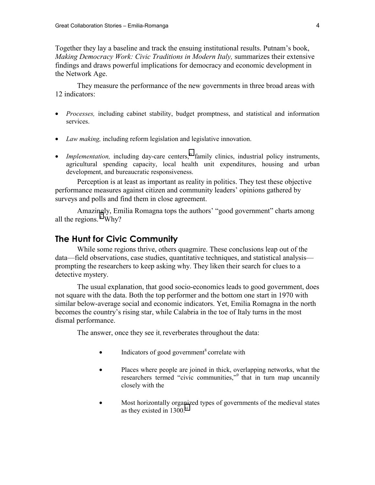Together they lay a baseline and track the ensuing institutional results. Putnam's book, *Making Democracy Work: Civic Traditions in Modern Italy,* summarizes their extensive findings and draws powerful implications for democracy and economic development in the Network Age.

They measure the performance of the new governments in three broad areas with 12 indicators:

- *Processes,* including cabinet stability, budget promptness, and statistical and information services.
- *Law making,* including reform legislation and legislative innovation.
- *Implementation*, including day-care centers,<sup>iv</sup> family clinics, industrial policy instruments, agricultural spending capacity, local health unit expenditures, housing and urban development, and bureaucratic responsiveness.

Perception is at least as important as reality in politics. They test these objective performance measures against citizen and community leaders' opinions gathered by surveys and polls and find them in close agreement.

Amazingly, Emilia Romagna tops the authors' "good government" charts among all the regions.  $v$  Why?

## **The Hunt for Civic Community**

While some regions thrive, others quagmire. These conclusions leap out of the data—field observations, case studies, quantitative techniques, and statistical analysis prompting the researchers to keep asking why. They liken their search for clues to a detective mystery.

The usual explanation, that good socio-economics leads to good government, does not square with the data. Both the top performer and the bottom one start in 1970 with similar below-average social and economic indicators. Yet, Emilia Romagna in the north becomes the country's rising star, while Calabria in the toe of Italy turns in the most dismal performance.

The answer, once they see it, reverberates throughout the data:

- Indicators of good government<sup>8</sup> correlate with
- Places where people are joined in thick, overlapping networks, what the researchers termed "civic communities,"<sup>9</sup> that in turn map uncannily closely with the
- Most horizontally organized types of governments of the medieval states as they existed in  $1300$ .<sup>[vi](#page-8-0)</sup>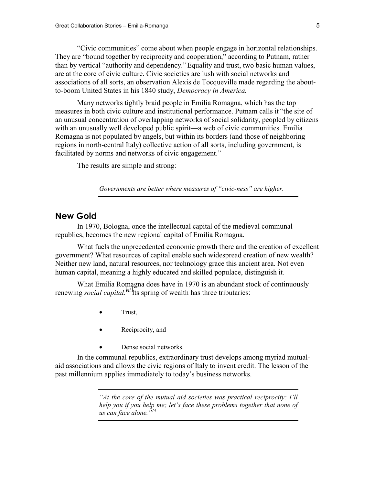"Civic communities" come about when people engage in horizontal relationships. They are "bound together by reciprocity and cooperation," according to Putnam, rather than by vertical "authority and dependency." Equality and trust, two basic human values, are at the core of civic culture. Civic societies are lush with social networks and associations of all sorts, an observation Alexis de Tocqueville made regarding the aboutto-boom United States in his 1840 study, *Democracy in America.* 

Many networks tightly braid people in Emilia Romagna, which has the top measures in both civic culture and institutional performance. Putnam calls it "the site of an unusual concentration of overlapping networks of social solidarity, peopled by citizens with an unusually well developed public spirit—a web of civic communities. Emilia Romagna is not populated by angels, but within its borders (and those of neighboring regions in north-central Italy) collective action of all sorts, including government, is facilitated by norms and networks of civic engagement."

The results are simple and strong:

*Governments are better where measures of "civic-ness" are higher.* 

### **New Gold**

In 1970, Bologna, once the intellectual capital of the medieval communal republics, becomes the new regional capital of Emilia Romagna.

What fuels the unprecedented economic growth there and the creation of excellent government? What resources of capital enable such widespread creation of new wealth? Neither new land, natural resources, nor technology grace this ancient area. Not even human capital, meaning a highly educated and skilled populace, distinguish it.

What Emilia Romagna does have in 1970 is an abundant stock of continuously renewing *social capital.[vii](#page-8-0)* Its spring of wealth has three tributaries:

- Trust,
- Reciprocity, and
- Dense social networks.

In the communal republics, extraordinary trust develops among myriad mutualaid associations and allows the civic regions of Italy to invent credit. The lesson of the past millennium applies immediately to today's business networks.

> *"At the core of the mutual aid societies was practical reciprocity: I'll help you if you help me; let's face these problems together that none of us can face alone."14*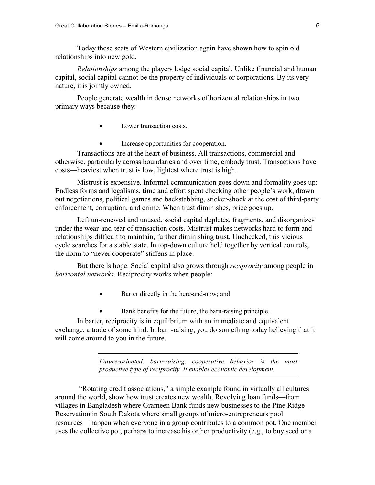Today these seats of Western civilization again have shown how to spin old relationships into new gold.

*Relationships* among the players lodge social capital. Unlike financial and human capital, social capital cannot be the property of individuals or corporations. By its very nature, it is jointly owned.

People generate wealth in dense networks of horizontal relationships in two primary ways because they:

- Lower transaction costs.
- Increase opportunities for cooperation.

Transactions are at the heart of business. All transactions, commercial and otherwise, particularly across boundaries and over time, embody trust. Transactions have costs—heaviest when trust is low, lightest where trust is high.

Mistrust is expensive. Informal communication goes down and formality goes up: Endless forms and legalisms, time and effort spent checking other people's work, drawn out negotiations, political games and backstabbing, sticker-shock at the cost of third-party enforcement, corruption, and crime. When trust diminishes, price goes up.

Left un-renewed and unused, social capital depletes, fragments, and disorganizes under the wear-and-tear of transaction costs. Mistrust makes networks hard to form and relationships difficult to maintain, further diminishing trust. Unchecked, this vicious cycle searches for a stable state. In top-down culture held together by vertical controls, the norm to "never cooperate" stiffens in place.

But there is hope. Social capital also grows through *reciprocity* among people in *horizontal networks.* Reciprocity works when people:

- Barter directly in the here-and-now; and
- Bank benefits for the future, the barn-raising principle.

In barter, reciprocity is in equilibrium with an immediate and equivalent exchange, a trade of some kind. In barn-raising, you do something today believing that it will come around to you in the future.

> *Future-oriented, barn-raising, cooperative behavior is the most productive type of reciprocity. It enables economic development.*

 "Rotating credit associations," a simple example found in virtually all cultures around the world, show how trust creates new wealth. Revolving loan funds—from villages in Bangladesh where Grameen Bank funds new businesses to the Pine Ridge Reservation in South Dakota where small groups of micro-entrepreneurs pool resources—happen when everyone in a group contributes to a common pot. One member uses the collective pot, perhaps to increase his or her productivity (e.g., to buy seed or a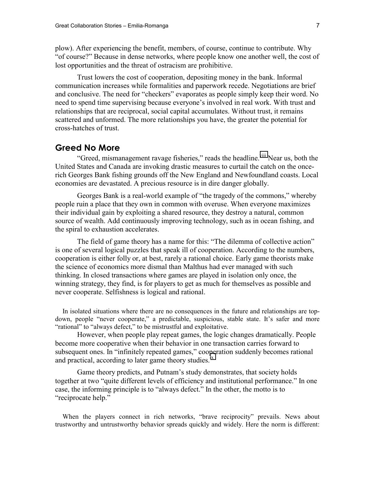plow). After experiencing the benefit, members, of course, continue to contribute. Why "of course?" Because in dense networks, where people know one another well, the cost of lost opportunities and the threat of ostracism are prohibitive.

Trust lowers the cost of cooperation, depositing money in the bank. Informal communication increases while formalities and paperwork recede. Negotiations are brief and conclusive. The need for "checkers" evaporates as people simply keep their word. No need to spend time supervising because everyone's involved in real work. With trust and relationships that are reciprocal, social capital accumulates. Without trust, it remains scattered and unformed. The more relationships you have, the greater the potential for cross-hatches of trust.

#### **Greed No More**

"Greed, mismanagement ravage fisheries," reads the headline.<sup>viii</sup> Near us, both the United States and Canada are invoking drastic measures to curtail the catch on the oncerich Georges Bank fishing grounds off the New England and Newfoundland coasts. Local economies are devastated. A precious resource is in dire danger globally.

Georges Bank is a real-world example of "the tragedy of the commons," whereby people ruin a place that they own in common with overuse. When everyone maximizes their individual gain by exploiting a shared resource, they destroy a natural, common source of wealth. Add continuously improving technology, such as in ocean fishing, and the spiral to exhaustion accelerates.

The field of game theory has a name for this: "The dilemma of collective action" is one of several logical puzzles that speak ill of cooperation. According to the numbers, cooperation is either folly or, at best, rarely a rational choice. Early game theorists make the science of economics more dismal than Malthus had ever managed with such thinking. In closed transactions where games are played in isolation only once, the winning strategy, they find, is for players to get as much for themselves as possible and never cooperate. Selfishness is logical and rational.

In isolated situations where there are no consequences in the future and relationships are topdown, people "never cooperate," a predictable, suspicious, stable state. It's safer and more "rational" to "always defect," to be mistrustful and exploitative.

However, when people play repeat games, the logic changes dramatically. People become more cooperative when their behavior in one transaction carries forward to subsequent ones. In "infinitely repeated games," cooperation suddenly becomes rational and practical, according to later game theory studies.<sup>[ix](#page-8-0)</sup>

Game theory predicts, and Putnam's study demonstrates, that society holds together at two "quite different levels of efficiency and institutional performance." In one case, the informing principle is to "always defect." In the other, the motto is to "reciprocate help."

When the players connect in rich networks, "brave reciprocity" prevails. News about trustworthy and untrustworthy behavior spreads quickly and widely. Here the norm is different: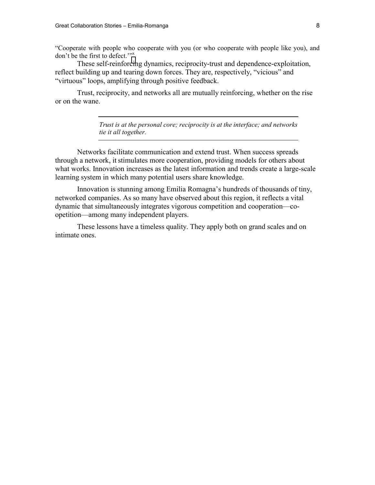"Cooperate with people who cooperate with you (or who cooperate with people like you), and don't be the first to defect."<sup>xx</sup>

These self-reinfor[cin](#page-8-0)g dynamics, reciprocity-trust and dependence-exploitation, reflect building up and tearing down forces. They are, respectively, "vicious" and "virtuous" loops, amplifying through positive feedback.

Trust, reciprocity, and networks all are mutually reinforcing, whether on the rise or on the wane.

> *Trust is at the personal core; reciprocity is at the interface; and networks tie it all together.*

Networks facilitate communication and extend trust. When success spreads through a network, it stimulates more cooperation, providing models for others about what works. Innovation increases as the latest information and trends create a large-scale learning system in which many potential users share knowledge.

Innovation is stunning among Emilia Romagna's hundreds of thousands of tiny, networked companies. As so many have observed about this region, it reflects a vital dynamic that simultaneously integrates vigorous competition and cooperation—coopetition—among many independent players.

These lessons have a timeless quality. They apply both on grand scales and on intimate ones.